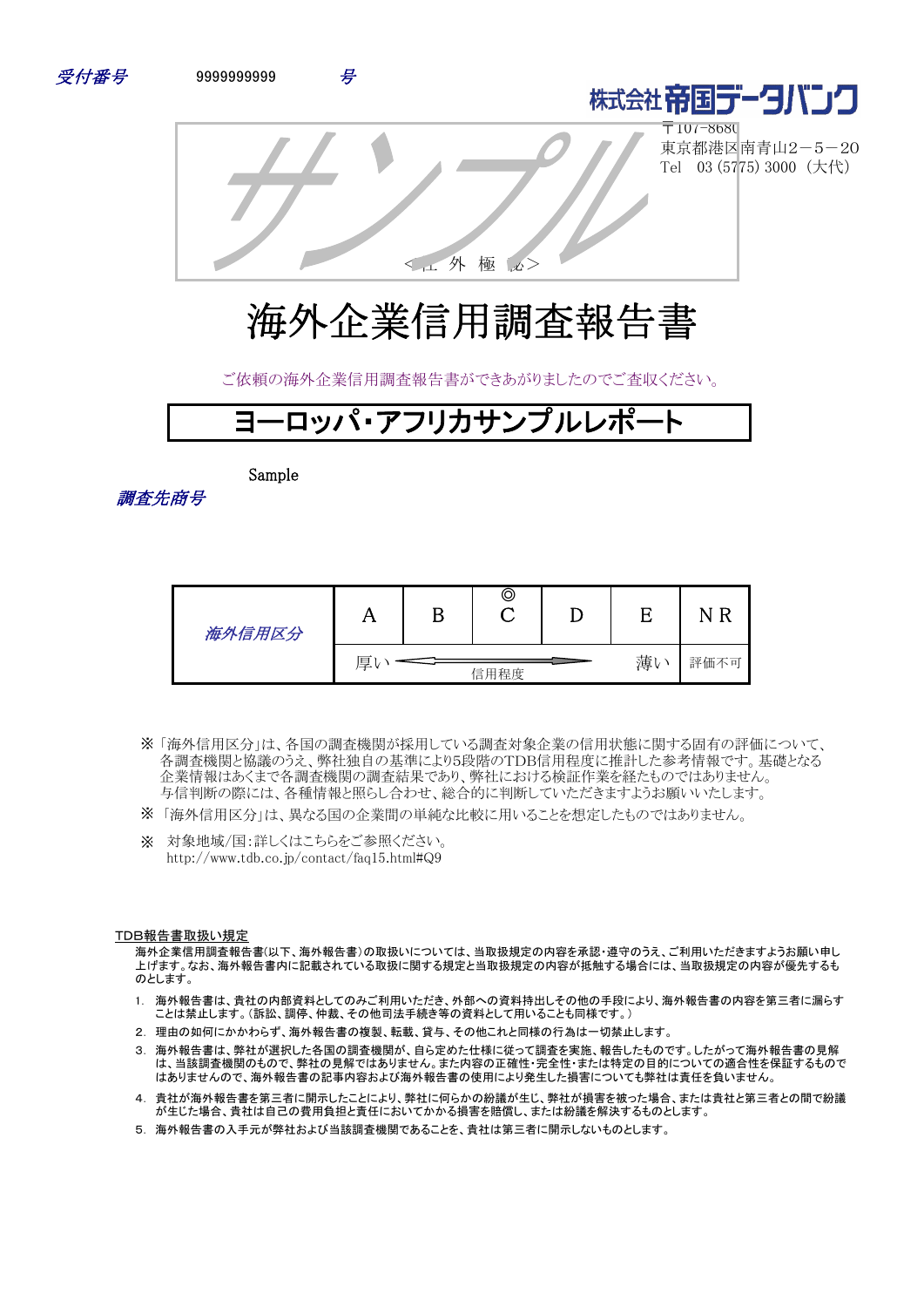



 $\overline{\top}$ 107-8680 東京都港区南青山2-5-20 Tel 03 (5775) 3000 (大代)

<社 外 極 秘>

# 海外企業信用調査報告書

ご依頼の海外企業信用調査報告書ができあがりましたのでご査収ください。

# ヨ―ロッパ・アフリカサンプルし

Sample

調査先商号

| 海外信用区分 | A               | Β | O |  |      |  |
|--------|-----------------|---|---|--|------|--|
|        | 薄い<br>厚<br>信用程度 |   |   |  | 評価不可 |  |

- 「海外信用区分」は、各国の調査機関が採用している調査対象企業の信用状態に関する固有の評価について、 ※ 各調査機関と協議のうえ、弊社独自の基準により5段階のTDB信用程度に推計した参考情報です。基礎となる 企業情報はあくまで各調査機関の調査結果であり、弊社における検証作業を経たものではありません。 与信判断の際には、各種情報と照らし合わせ、総合的に判断していただきますようお願いいたします。
- ※ 「海外信用区分」は、異なる国の企業間の単純な比較に用いることを想定したものではありません。
- ※ 対象地域/国:詳しくはこちらをご参照ください。 http://www.tdb.co.jp/contact/faq15.html#Q9

#### TDB報告書取扱い規定

海外企業信用調査報告書(以下、海外報告書)の取扱いについては、当取扱規定の内容を承認・遵守のうえ、ご利用いただきますようお願い申し 上げます。なお、海外報告書内に記載されている取扱に関する規定と当取扱規定の内容が抵触する場合には、当取扱規定の内容が優先するも のとします。

- 1. 海外報告書は、貴社の内部資料としてのみご利用いただき、外部への資料持出しその他の手段により、海外報告書の内容を第三者に漏らす ことは禁止します。(訴訟、調停、仲裁、その他司法手続き等の資料として用いることも同様です。)
- 2. 理由の如何にかかわらず、海外報告書の複製、転載、貸与、その他これと同様の行為は一切禁止します。
- 3. 海外報告書は、弊社が選択した各国の調査機関が、自ら定めた仕様に従って調査を実施、報告したものです。したがって海外報告書の見解 は、当該調査機関のもので、弊社の見解ではありません。また内容の正確性・完全性・または特定の目的についての適合性を保証するもので はありませんので、海外報告書の記事内容および海外報告書の使用により発生した損害についても弊社は責任を負いません。
- 4. 貴社が海外報告書を第三者に開示したことにより、弊社に何らかの紛議が生じ、弊社が損害を被った場合、または貴社と第三者との間で紛議 が生じた場合、貴社は自己の費用負担と責任においてかかる損害を賠償し、または紛議を解決するものとします。
- 5. 海外報告書の入手元が弊社および当該調査機関であることを、貴社は第三者に開示しないものとします。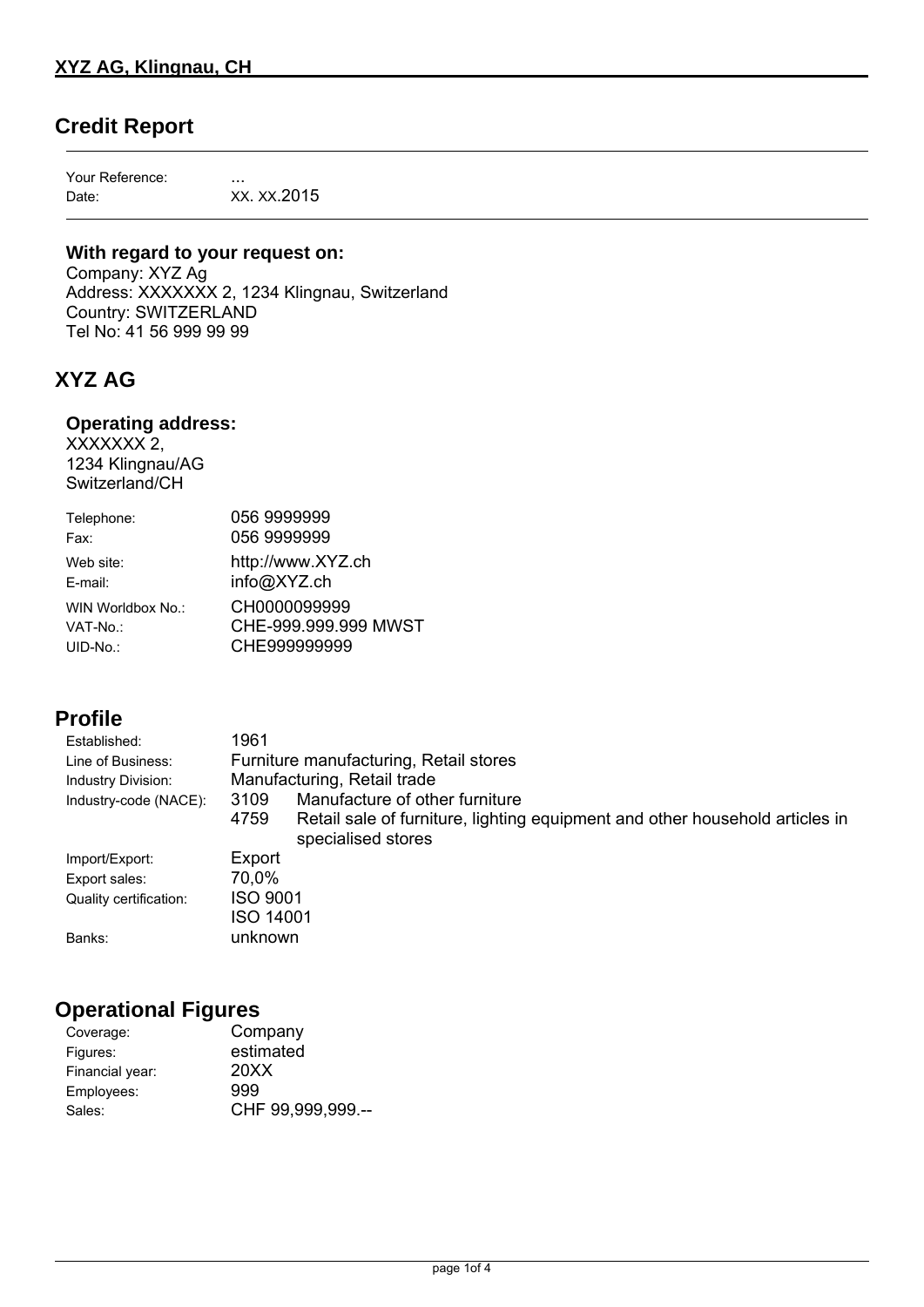## **Credit Report**

Your Reference: ... Date: XX. XX.2015

### **With regard to your request on:**

Company: XYZ Ag Address: XXXXXXX 2, 1234 Klingnau, Switzerland Country: SWITZERLAND Tel No: 41 56 999 99 99

## **XYZ AG**

#### **Operating address:**

XXXXXXX 2, 1234 Klingnau/AG Switzerland/CH

| Telephone:        | 056 9999999          |
|-------------------|----------------------|
| Fax:              | 056 9999999          |
| Web site:         | http://www.XYZ.ch    |
| E-mail:           | info@XYZ.ch          |
| WIN Worldbox No.: | CH0000099999         |
| VAT-No.:          | CHE-999.999.999 MWST |
| $UID-No.$ :       | CHE999999999         |

### **Profile**

| Established:           | 1961                                                                                                       |  |  |
|------------------------|------------------------------------------------------------------------------------------------------------|--|--|
| Line of Business:      | Furniture manufacturing, Retail stores                                                                     |  |  |
| Industry Division:     | Manufacturing, Retail trade                                                                                |  |  |
| Industry-code (NACE):  | Manufacture of other furniture<br>3109                                                                     |  |  |
|                        | Retail sale of furniture, lighting equipment and other household articles in<br>4759<br>specialised stores |  |  |
| Import/Export:         | Export                                                                                                     |  |  |
| Export sales:          | 70,0%                                                                                                      |  |  |
| Quality certification: | <b>ISO 9001</b>                                                                                            |  |  |
|                        | <b>ISO 14001</b>                                                                                           |  |  |
| Banks:                 | unknown                                                                                                    |  |  |

### **Operational Figures**

| Company           |
|-------------------|
| estimated         |
| 20XX              |
| 999               |
| CHF 99,999,999.-- |
|                   |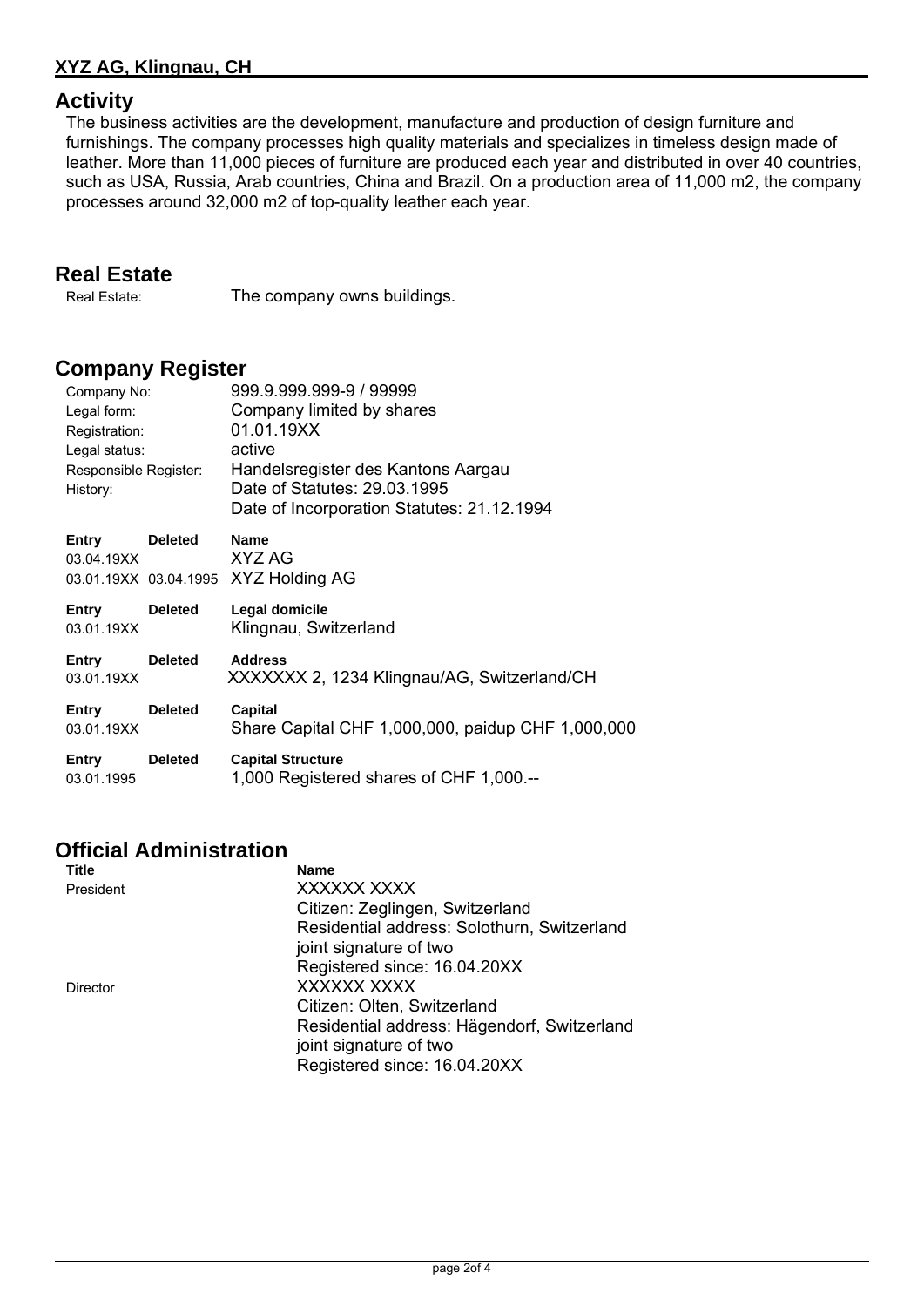### **XYZ AG, Klingnau, CH**

### **Activity**

The business activities are the development, manufacture and production of design furniture and furnishings. The company processes high quality materials and specializes in timeless design made of leather. More than 11,000 pieces of furniture are produced each year and distributed in over 40 countries, such as USA, Russia, Arab countries, China and Brazil. On a production area of 11,000 m2, the company processes around 32,000 m2 of top-quality leather each year.

### **Real Estate**

Real Estate: The company owns buildings.

### **Company Register**

| Company No:<br>Legal form:<br>Registration:<br>Legal status:<br>Responsible Register:<br>History: |                | 999.9.999.999-9 / 99999<br>Company limited by shares<br>01.01.19XX<br>active<br>Handelsregister des Kantons Aargau<br>Date of Statutes: 29.03.1995<br>Date of Incorporation Statutes: 21.12.1994 |  |  |
|---------------------------------------------------------------------------------------------------|----------------|--------------------------------------------------------------------------------------------------------------------------------------------------------------------------------------------------|--|--|
| Entry<br>03.04.19XX                                                                               | <b>Deleted</b> | <b>Name</b><br>XYZ AG<br>03.01.19XX 03.04.1995 XYZ Holding AG                                                                                                                                    |  |  |
| Entry<br>03.01.19XX                                                                               | <b>Deleted</b> | Legal domicile<br>Klingnau, Switzerland                                                                                                                                                          |  |  |
| Entry<br>03.01.19XX                                                                               | <b>Deleted</b> | <b>Address</b><br>XXXXXXX 2, 1234 Klingnau/AG, Switzerland/CH                                                                                                                                    |  |  |
| Entry<br>03.01.19XX                                                                               | <b>Deleted</b> | Capital<br>Share Capital CHF 1,000,000, paidup CHF 1,000,000                                                                                                                                     |  |  |
| Entry<br>03.01.1995                                                                               | <b>Deleted</b> | <b>Capital Structure</b><br>1,000 Registered shares of CHF 1,000.--                                                                                                                              |  |  |

# **Official Administration**

| <b>Title</b> | <b>Name</b>                                 |
|--------------|---------------------------------------------|
| President    | XXXXXX XXXX                                 |
|              | Citizen: Zeglingen, Switzerland             |
|              | Residential address: Solothurn, Switzerland |
|              | joint signature of two                      |
|              | Registered since: 16.04.20XX                |
| Director     | XXXXXX XXXX                                 |
|              | Citizen: Olten, Switzerland                 |
|              | Residential address: Hägendorf, Switzerland |
|              | joint signature of two                      |
|              | Registered since: 16.04.20XX                |
|              |                                             |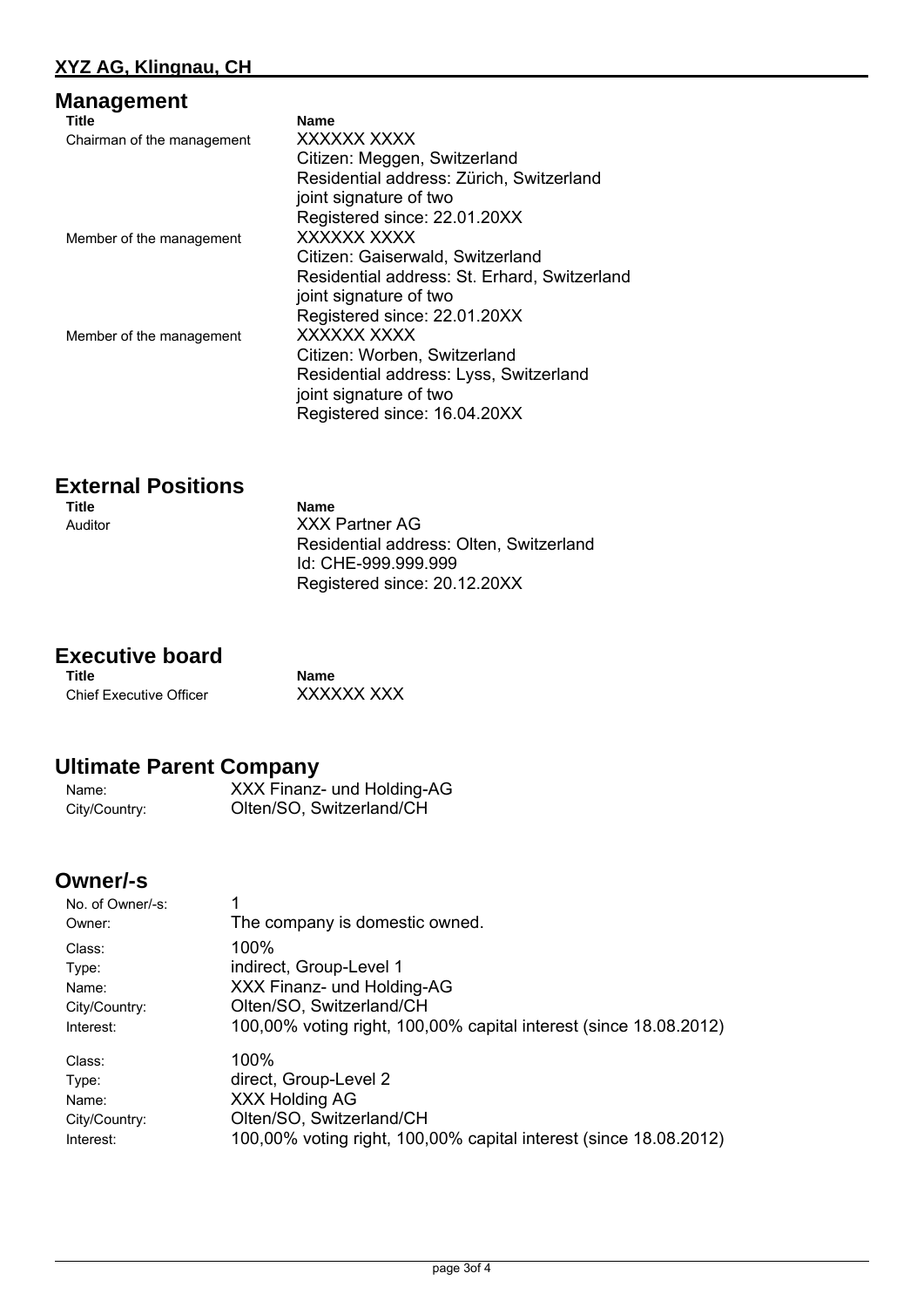| Management                 |                                              |
|----------------------------|----------------------------------------------|
| Title                      | <b>Name</b>                                  |
| Chairman of the management | XXXXXX XXXX                                  |
|                            | Citizen: Meggen, Switzerland                 |
|                            | Residential address: Zürich, Switzerland     |
|                            | joint signature of two                       |
|                            | Registered since: 22.01.20XX                 |
| Member of the management   | XXXXXX XXXX                                  |
|                            | Citizen: Gaiserwald, Switzerland             |
|                            | Residential address: St. Erhard, Switzerland |
|                            | joint signature of two                       |
|                            | Registered since: 22.01.20XX                 |
| Member of the management   | XXXXXX XXXX                                  |
|                            | Citizen: Worben, Switzerland                 |
|                            | Residential address: Lyss, Switzerland       |
|                            | joint signature of two                       |
|                            | Registered since: 16.04.20XX                 |
|                            |                                              |

# **External Positions**

**Name** Auditor XXX Partner AG Residential address: Olten, Switzerland Id: CHE-999.999.999 Registered since: 20.12.20XX

# **Executive board**

Chief Executive Officer XXXXXX XXX

**Name** 

# **Ultimate Parent Company**

Name: XXX Finanz- und Holding-AG City/Country: Olten/SO, Switzerland/CH

## **Owner/-s**

| No. of Owner/-s: |                                                                   |  |  |
|------------------|-------------------------------------------------------------------|--|--|
| Owner:           | The company is domestic owned.                                    |  |  |
| Class:           | 100%                                                              |  |  |
| Type:            | indirect, Group-Level 1                                           |  |  |
| Name:            | XXX Finanz- und Holding-AG                                        |  |  |
| City/Country:    | Olten/SO, Switzerland/CH                                          |  |  |
| Interest:        | 100,00% voting right, 100,00% capital interest (since 18.08.2012) |  |  |
| Class:           | $100\%$                                                           |  |  |
| Type:            | direct, Group-Level 2                                             |  |  |
| Name:            | XXX Holding AG                                                    |  |  |
| City/Country:    | Olten/SO, Switzerland/CH                                          |  |  |
| Interest:        | 100,00% voting right, 100,00% capital interest (since 18.08.2012) |  |  |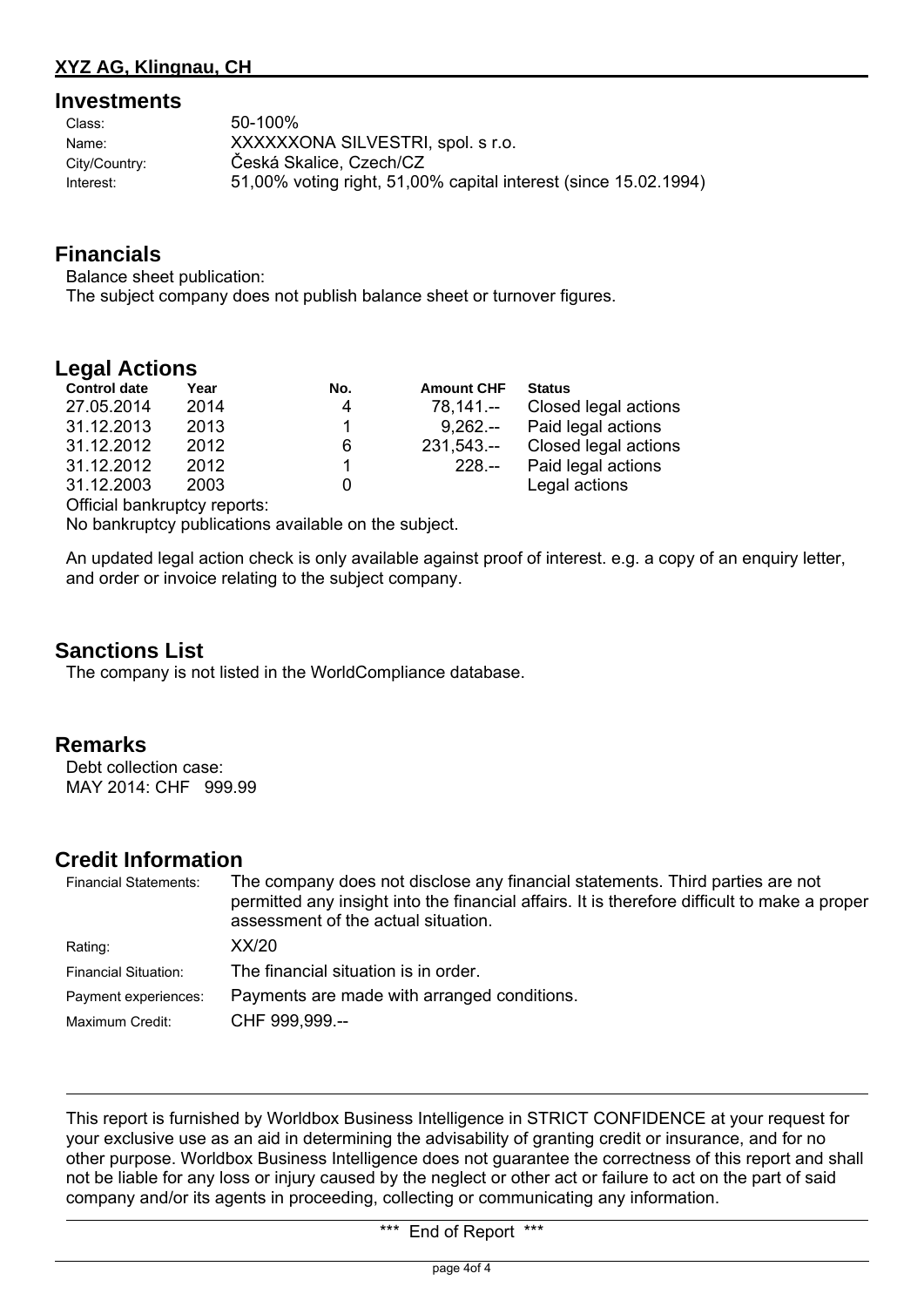#### **Investments**

| Class:        | 50-100%                                                         |
|---------------|-----------------------------------------------------------------|
| Name:         | XXXXXXONA SILVESTRI, spol. s r.o.                               |
| City/Country: | Česká Skalice, Czech/CZ                                         |
| Interest:     | 51,00% voting right, 51,00% capital interest (since 15.02.1994) |

### **Financials**

Balance sheet publication: The subject company does not publish balance sheet or turnover figures.

### **Legal Actions**

| <b>Control date</b> | Year | No. | <b>Amount CHF</b> | <b>Status</b>               |
|---------------------|------|-----|-------------------|-----------------------------|
| 27.05.2014          | 2014 | 4   | $78,141--$        | Closed legal actions        |
| 31.12.2013          | 2013 |     |                   | 9,262.-- Paid legal actions |
| 31.12.2012          | 2012 | 6   | $231,543-$        | Closed legal actions        |
| 31.12.2012          | 2012 |     | $228 -$           | Paid legal actions          |
| 31.12.2003          | 2003 | 0   |                   | Legal actions               |
|                     |      |     |                   |                             |

Official bankruptcy reports:

No bankruptcy publications available on the subject.

An updated legal action check is only available against proof of interest. e.g. a copy of an enquiry letter, and order or invoice relating to the subject company.

### **Sanctions List**

The company is not listed in the WorldCompliance database.

### **Remarks**

Debt collection case: MAY 2014: CHF 999.99

### **Credit Information**

| <b>Financial Statements:</b> | The company does not disclose any financial statements. Third parties are not<br>permitted any insight into the financial affairs. It is therefore difficult to make a proper<br>assessment of the actual situation. |  |
|------------------------------|----------------------------------------------------------------------------------------------------------------------------------------------------------------------------------------------------------------------|--|
| Rating:                      | XX/20                                                                                                                                                                                                                |  |
| <b>Financial Situation:</b>  | The financial situation is in order.                                                                                                                                                                                 |  |
| Payment experiences:         | Payments are made with arranged conditions.                                                                                                                                                                          |  |
| Maximum Credit:              | CHF 999,999.--                                                                                                                                                                                                       |  |

This report is furnished by Worldbox Business Intelligence in STRICT CONFIDENCE at your request for your exclusive use as an aid in determining the advisability of granting credit or insurance, and for no other purpose. Worldbox Business Intelligence does not guarantee the correctness of this report and shall not be liable for any loss or injury caused by the neglect or other act or failure to act on the part of said company and/or its agents in proceeding, collecting or communicating any information.

\*\*\* End of Report \*\*\*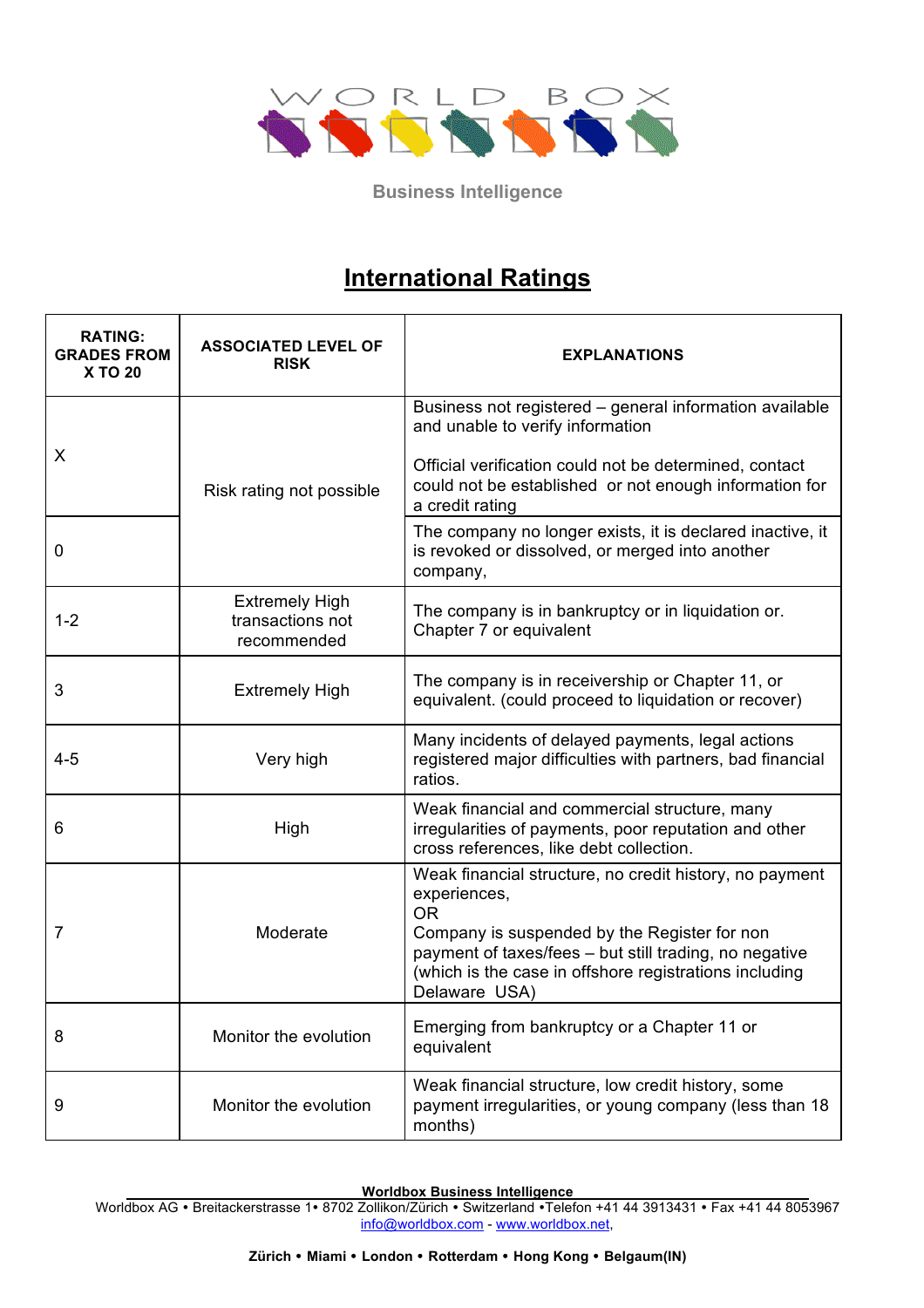

# **International Ratings**

| <b>RATING:</b><br><b>GRADES FROM</b><br><b>X TO 20</b> | <b>ASSOCIATED LEVEL OF</b><br><b>RISK</b>                | <b>EXPLANATIONS</b>                                                                                                                                                                                                                                                       |
|--------------------------------------------------------|----------------------------------------------------------|---------------------------------------------------------------------------------------------------------------------------------------------------------------------------------------------------------------------------------------------------------------------------|
| X                                                      | Risk rating not possible                                 | Business not registered - general information available<br>and unable to verify information<br>Official verification could not be determined, contact<br>could not be established or not enough information for<br>a credit rating                                        |
| 0                                                      |                                                          | The company no longer exists, it is declared inactive, it<br>is revoked or dissolved, or merged into another<br>company,                                                                                                                                                  |
| $1 - 2$                                                | <b>Extremely High</b><br>transactions not<br>recommended | The company is in bankruptcy or in liquidation or.<br>Chapter 7 or equivalent                                                                                                                                                                                             |
| 3                                                      | <b>Extremely High</b>                                    | The company is in receivership or Chapter 11, or<br>equivalent. (could proceed to liquidation or recover)                                                                                                                                                                 |
| $4 - 5$                                                | Very high                                                | Many incidents of delayed payments, legal actions<br>registered major difficulties with partners, bad financial<br>ratios.                                                                                                                                                |
| 6                                                      | High                                                     | Weak financial and commercial structure, many<br>irregularities of payments, poor reputation and other<br>cross references, like debt collection.                                                                                                                         |
| 7                                                      | Moderate                                                 | Weak financial structure, no credit history, no payment<br>experiences,<br><b>OR</b><br>Company is suspended by the Register for non<br>payment of taxes/fees - but still trading, no negative<br>(which is the case in offshore registrations including<br>Delaware USA) |
| 8                                                      | Monitor the evolution                                    | Emerging from bankruptcy or a Chapter 11 or<br>equivalent                                                                                                                                                                                                                 |
| 9                                                      | Monitor the evolution                                    | Weak financial structure, low credit history, some<br>payment irregularities, or young company (less than 18<br>months)                                                                                                                                                   |

**Worldbox Business Intelligence**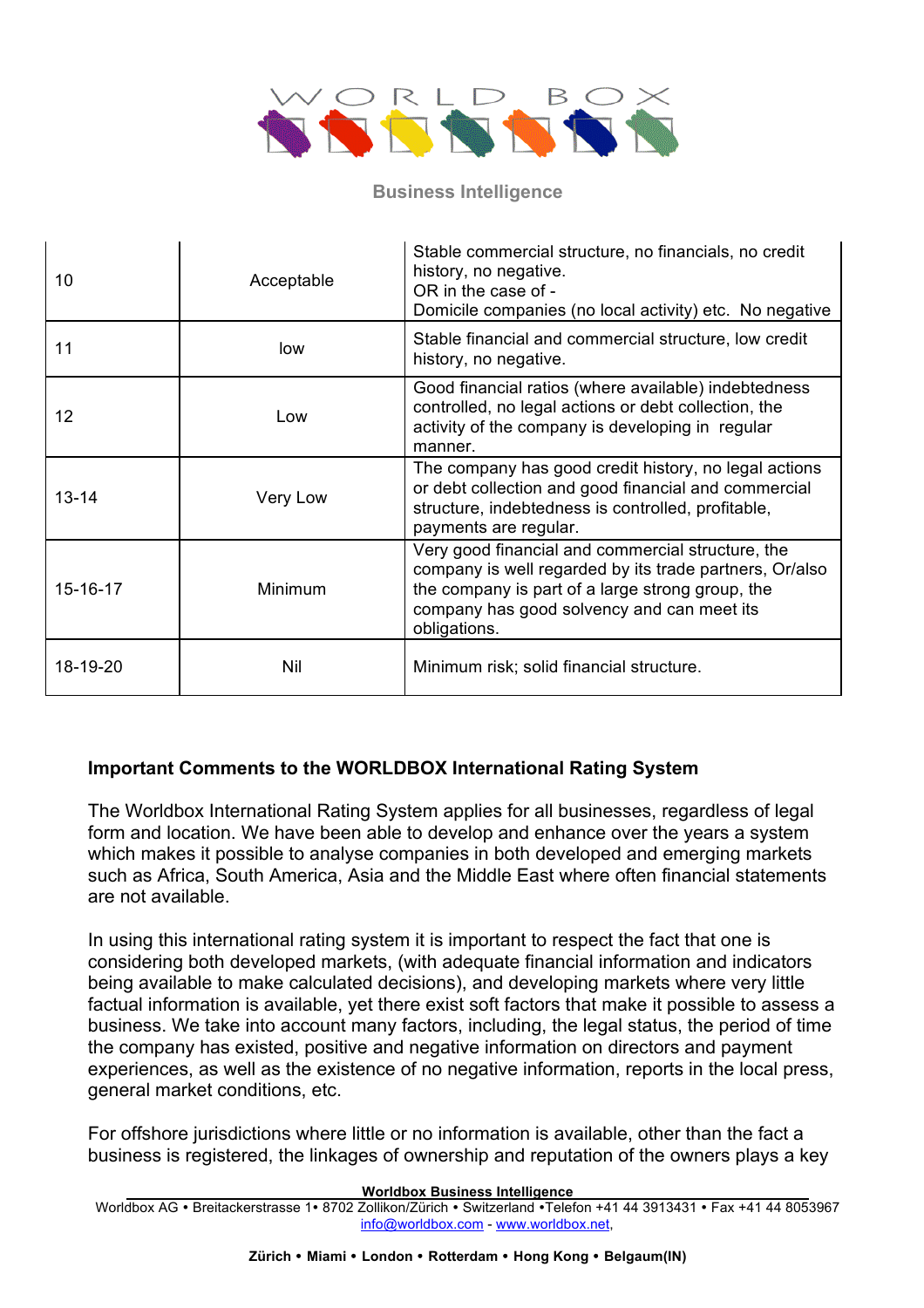

| 10        | Acceptable | Stable commercial structure, no financials, no credit<br>history, no negative.<br>OR in the case of -<br>Domicile companies (no local activity) etc. No negative                                                               |
|-----------|------------|--------------------------------------------------------------------------------------------------------------------------------------------------------------------------------------------------------------------------------|
| 11        | low        | Stable financial and commercial structure, low credit<br>history, no negative.                                                                                                                                                 |
| 12        | Low        | Good financial ratios (where available) indebtedness<br>controlled, no legal actions or debt collection, the<br>activity of the company is developing in regular<br>manner.                                                    |
| $13 - 14$ | Very Low   | The company has good credit history, no legal actions<br>or debt collection and good financial and commercial<br>structure, indebtedness is controlled, profitable,<br>payments are regular.                                   |
| 15-16-17  | Minimum    | Very good financial and commercial structure, the<br>company is well regarded by its trade partners, Or/also<br>the company is part of a large strong group, the<br>company has good solvency and can meet its<br>obligations. |
| 18-19-20  | Nil        | Minimum risk; solid financial structure.                                                                                                                                                                                       |

### **Important Comments to the WORLDBOX International Rating System**

The Worldbox International Rating System applies for all businesses, regardless of legal form and location. We have been able to develop and enhance over the years a system which makes it possible to analyse companies in both developed and emerging markets such as Africa, South America, Asia and the Middle East where often financial statements are not available.

In using this international rating system it is important to respect the fact that one is considering both developed markets, (with adequate financial information and indicators being available to make calculated decisions), and developing markets where very little factual information is available, yet there exist soft factors that make it possible to assess a business. We take into account many factors, including, the legal status, the period of time the company has existed, positive and negative information on directors and payment experiences, as well as the existence of no negative information, reports in the local press, general market conditions, etc.

For offshore jurisdictions where little or no information is available, other than the fact a business is registered, the linkages of ownership and reputation of the owners plays a key

**Worldbox Business Intelligence**

Worldbox AG · Breitackerstrasse 1 · 8702 Zollikon/Zürich · Switzerland · Telefon +41 44 3913431 · Fax +41 44 8053967 info@worldbox.com - www.worldbox.net,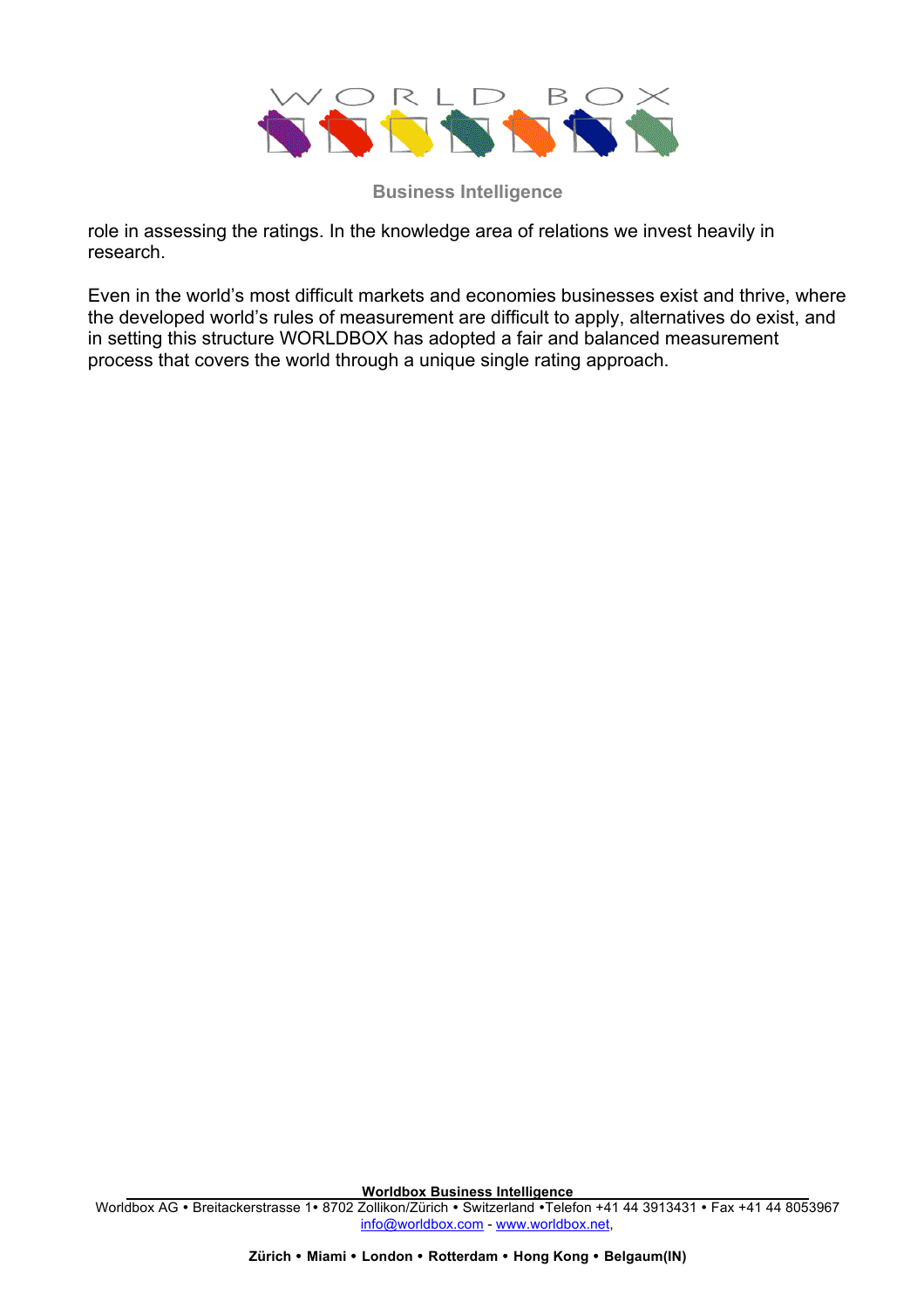

role in assessing the ratings. In the knowledge area of relations we invest heavily in research.

Even in the world's most difficult markets and economies businesses exist and thrive, where the developed world's rules of measurement are difficult to apply, alternatives do exist, and in setting this structure WORLDBOX has adopted a fair and balanced measurement process that covers the world through a unique single rating approach.

**Worldbox Business Intelligence**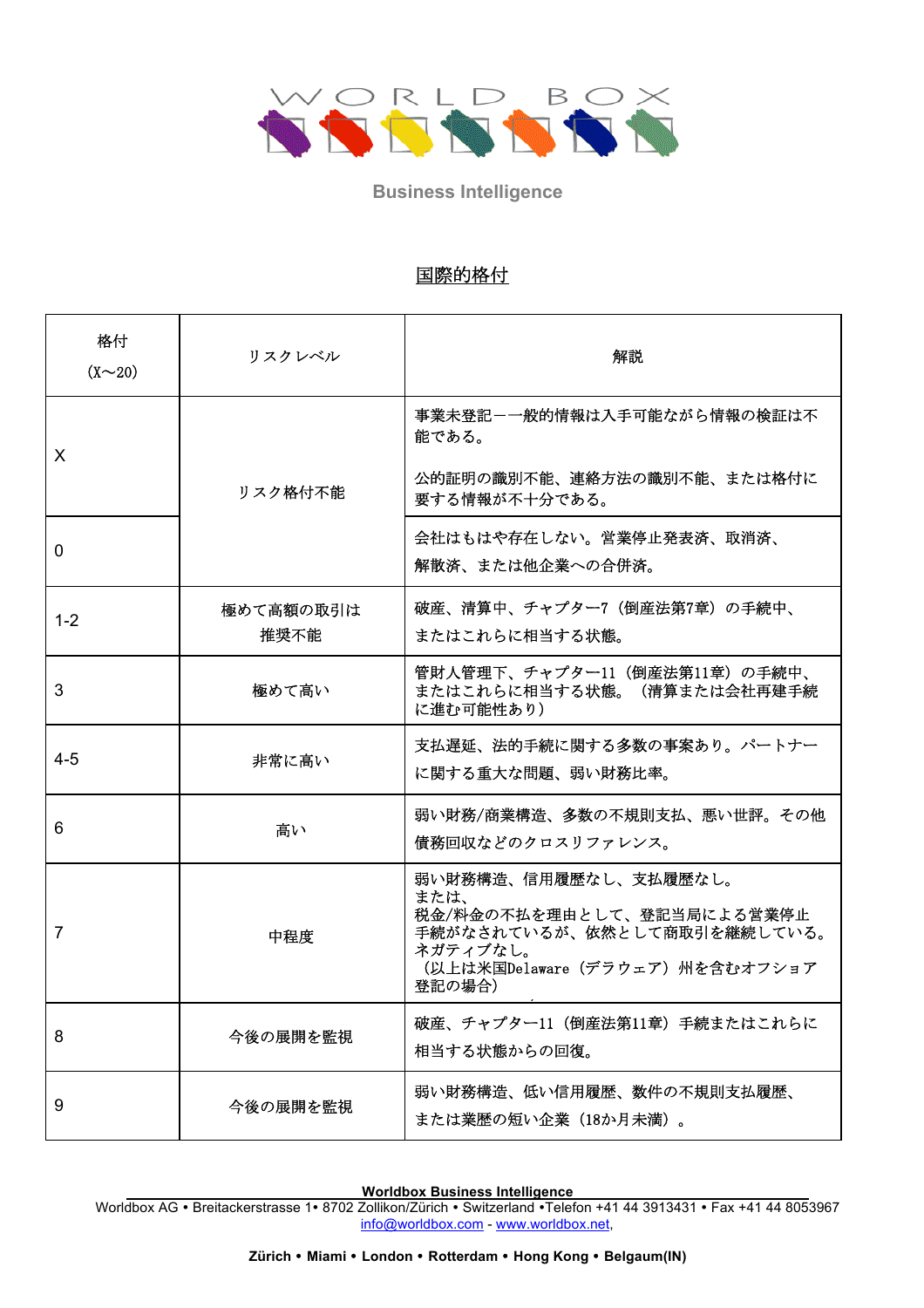

# **International Ratings** 国際的格付

| 格付<br>(X~20)   | リスクレベル            | 解説                                                                                                                                                 |
|----------------|-------------------|----------------------------------------------------------------------------------------------------------------------------------------------------|
| X              | リスク格付不能           | 事業未登記-一般的情報は入手可能ながら情報の検証は不<br>能である。<br>公的証明の識別不能、連絡方法の識別不能、または格付に<br>要する情報が不十分である。                                                                 |
| $\Omega$       |                   | 会社はもはや存在しない。営業停止発表済、取消済、<br>解散済、または他企業への合併済。                                                                                                       |
| $1 - 2$        | 極めて高額の取引は<br>推奨不能 | 破産、清算中、チャプター7(倒産法第7章)の手続中、<br>またはこれらに相当する状態。                                                                                                       |
| 3              | 極めて高い             | 管財人管理下、チャプター11 (倒産法第11章)の手続中、<br>またはこれらに相当する状態。(清算または会社再建手続<br>に進む可能性あり)                                                                           |
| $4 - 5$        | 非常に高い             | 支払遅延、法的手続に関する多数の事案あり。パートナー<br>に関する重大な問題、弱い財務比率。                                                                                                    |
| 6              | 高い                | 弱い財務/商業構造、多数の不規則支払、悪い世評。その他<br>債務回収などのクロスリファレンス。                                                                                                   |
| $\overline{7}$ | 中程度               | 弱い財務構造、信用履歴なし、支払履歴なし。<br>または、<br>税金/料金の不払を理由として、登記当局による営業停止<br>手続がなされているが、依然として商取引を継続している。<br>ネガティブなし。<br>(以上は米国Delaware(デラウェア)州を含むオフショア<br>登記の場合) |
| 8              | 今後の展開を監視          | 破産、チャプター11(倒産法第11章)手続またはこれらに<br>相当する状態からの回復。                                                                                                       |
| 9              | 今後の展開を監視          | 弱い財務構造、低い信用履歴、数件の不規則支払履歴、<br>または業歴の短い企業 (18か月未満)。                                                                                                  |

**Worldbox Business Intelligence**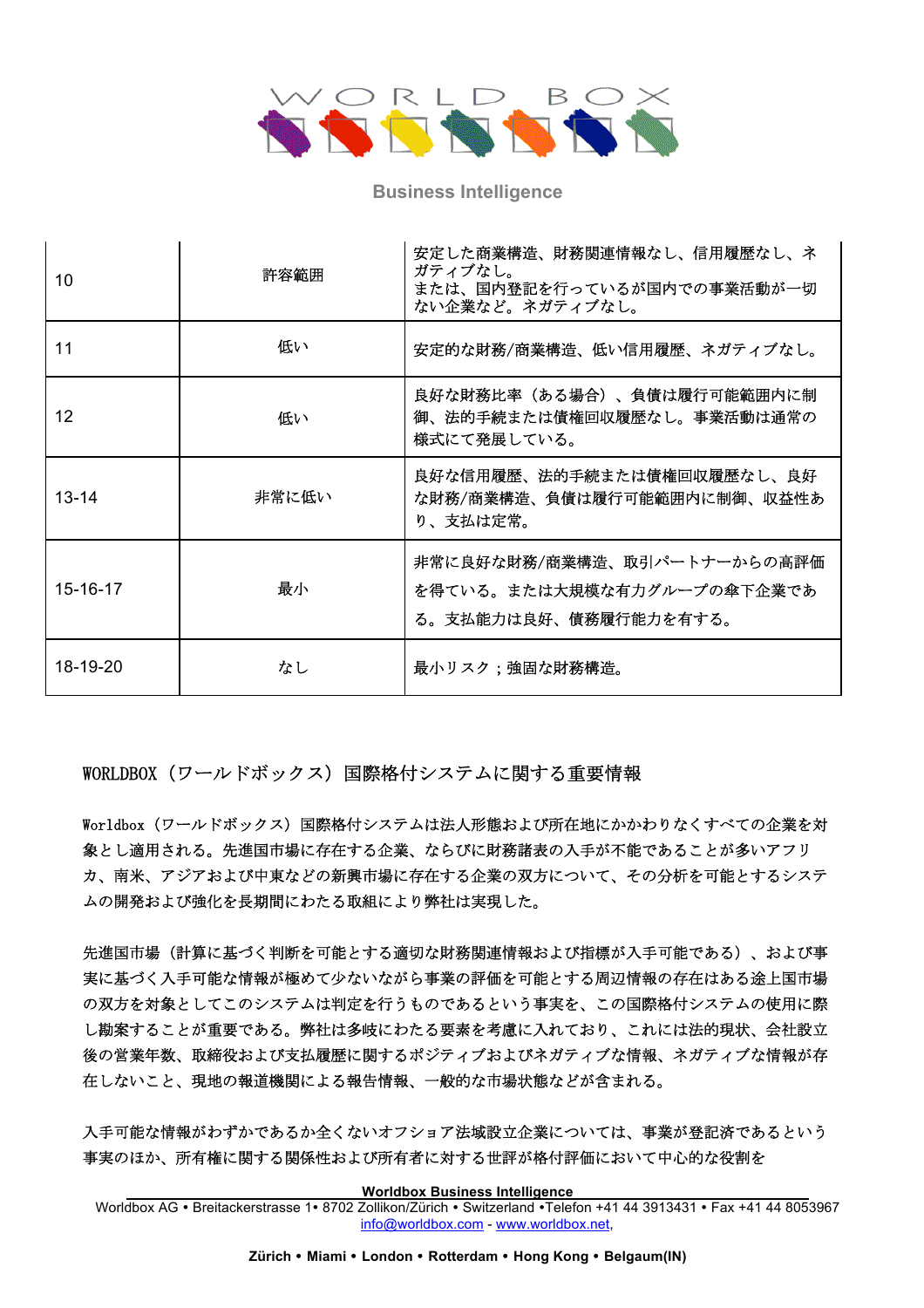

| 10             | 許容範囲  | 安定した商業構造、財務関連情報なし、信用履歴なし、ネ<br>ガティブなし。<br>または、国内登記を行っているが国内での事業活動が一切<br>ない企業など。ネガティブなし。 |
|----------------|-------|----------------------------------------------------------------------------------------|
| 11             | 低い    | 安定的な財務/商業構造、低い信用履歴、ネガティブなし。                                                            |
| 12             | 低い    | 良好な財務比率(ある場合)、負債は履行可能範囲内に制<br>御、法的手続または債権回収履歴なし。事業活動は通常の<br>様式にて発展している。                |
| $13 - 14$      | 非常に低い | 良好な信用履歴、法的手続または債権回収履歴なし、良好<br>な財務/商業構造、負債は履行可能範囲内に制御、収益性あ<br>り、支払は定常。                  |
| $15 - 16 - 17$ | 最小    | 非常に良好な財務/商業構造、取引パートナーからの高評価<br>を得ている。または大規模な有力グループの傘下企業であ<br>る。支払能力は良好、債務履行能力を有する。     |
| 18-19-20       | なし    | 最小リスク;強固な財務構造。                                                                         |

**WORLDBOX(ワールドボックス)国際格付システムに関する重要情報** 

The Worldbox International Rating System applies for all businesses, regardless of legal Worldbox(ワールドボックス)国際格付システムは法人形態および所在地にかかわりなくすべての企業を対<br>-象とし適用される。先進国市場に存在する企業、ならびに財務諸表の入手が不能であることが多いアフリ カ、南米、アジアおよび中東などの新興市場に存在する企業の双方について、その分析を可能とするシステ ムの開発および強化を長期間にわたる取組により弊社は実現した。

 $\mathcal{L}$ in this international rational rational rational rational respect to  $\mathcal{L}$  . The fact that one is international rational rational rational rational rational rational rational rational rational rational rational 先進国市場(計算に基づく判断を可能とする適切な財務関連情報および指標が入手可能である)、および事<br>-実に基づく入手可能な情報が極めて少ないながら事業の評価を可能とする周辺情報の存在はある途上国市<mark>場</mark> の双方を対象としてこのシステムは判定を行うものであるという事実を、この国際格付システムの使用に際 し勘案することが重要である。弊社は多岐にわたる要素を考慮に入れており、これには法的現状、会社設立 後の営業年数、取締役および支払履歴に関するポジティブおよびネガティブな情報、ネガティブな情報が存 experiences, as well as the existence of no negative information, reproduced in the local press, reports in th<br>http://www.assimultan.com/herein/www.assimultan.com/herein/www.assimultan.com/herein/www.assimultan.com/herein 在しないこと、現地の報道機関による報告情報、一般的な市場状態などが含まれる。<br>-

入手可能な情報がわずかであるか全くないオフショア法域設立企業については、事業が登記済であるという 事実のほか、所有権に関する関係性および所有者に対する世評が格付評価において中心的な役割を

**Worldbox Business Intelligence**

Worldbox AG • Breitackerstrasse 1• 8702 Zollikon/Zürich • Switzerland • Telefon +41 44 3913431 • Fax +41 44 8053967 info@worldbox.com - www.worldbox.net,